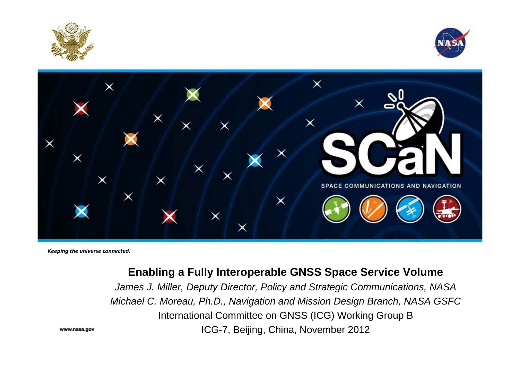





*Keeping the universe connected.*

#### **Enabling a Fully Interoperable GNSS Space Service Volume**

*James J. Miller, Deputy Director, Policy and Strategic Communications, NASA Michael C. Moreau, Ph.D., Navigation and Mission Design Branch, NASA GSFC* International Committee on GNSS (ICG) Working Group B ICG-7, Beijing, China, November 2012

www.nasa.gov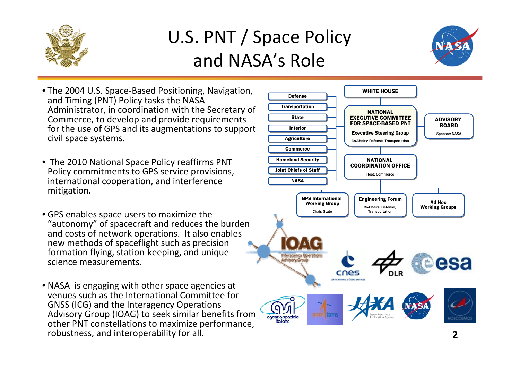

### U.S. PNT / Space Policy and NASA's Role



- The 2004 U.S. Space‐Based Positioning, Navigation, and Timing (PNT) Policy tasks the NASA Administrator, in coordination with the Secretary of Commerce, to develop and provide requirements for the use of GPS and its augmentations to support civil space systems.
- The 2010 National Space Policy reaffirms PNT Policy commitments to GPS service provisions, international cooperation, and interference mitigation.
- GPS enables space users to maximize the "autonomy" of spacecraft and reduces the burden and costs of network operations. It also enables new methods of spaceflight such as precision formation flying, station‐keeping, and unique science measurements.
- NASA is engaging with other space agencies at venues such as the International Committee for GNSS (ICG) and the Interagency Operations Advisory Group (IOAG) to seek similar benefits from other PNT constellations to maximize performance, robustness, and interoperability for all.

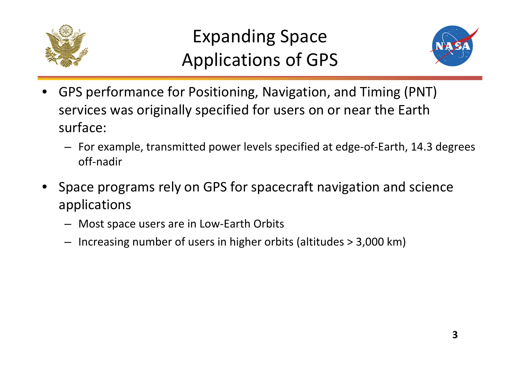



- • GPS performance for Positioning, Navigation, and Timing (PNT) services was originally specified for users on or near the Earth surface:
	- For example, transmitted power levels specified at edge‐of‐Earth, 14.3 degrees off‐nadir
- • Space programs rely on GPS for spacecraft navigation and science applications
	- Most space users are in Low‐Earth Orbits
	- Increasing number of users in higher orbits (altitudes <sup>&</sup>gt; 3,000 km)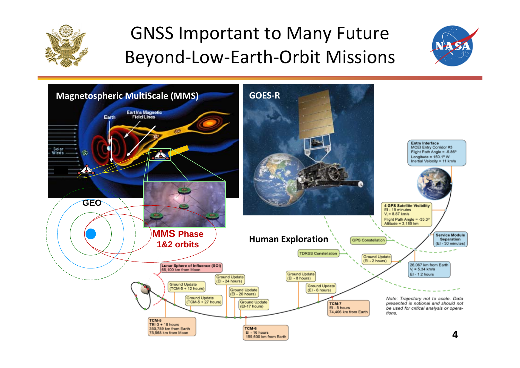

### GNSS Important to Many Future Beyond‐Low‐Earth‐Orbit Missions



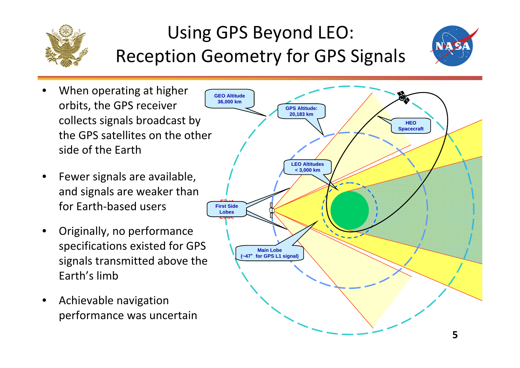

## Using GPS Beyond LEO: Reception Geometry for GPS Signals



- • When operating at higher orbits, the GPS receiver collects signals broadcast by the GPS satellites on the other side of the Earth
- • Fewer signals are available, and signals are weaker than for Earth‐based users
- • Originally, no performance specifications existed for GPS signals transmitted above the Earth's limb
- •**•** Achievable navigation performance was uncertain

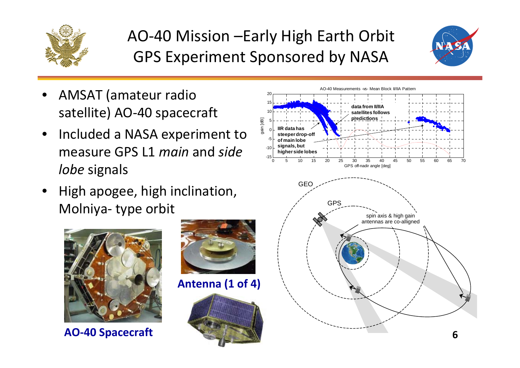

### AO‐40 Mission –Early High Earth Orbit GPS Experiment Sponsored by NASA



- • AMSAT (amateur radio satellite) AO‐40 spacecraft
- •• Included a NASA experiment to measure GPS L1 *main* and *side lobe* signals
- • High apogee, high inclination, Molniya‐ type orbit



**AO‐40 Spacecraft**



**Antenna (1 of 4)**



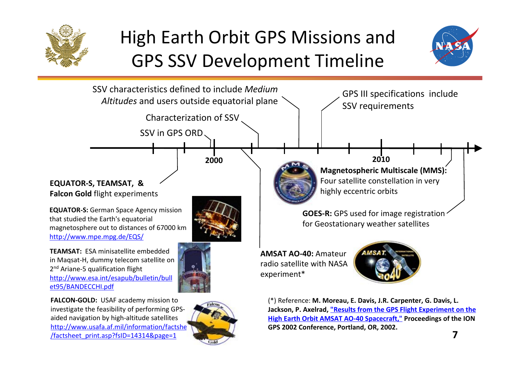

/factsheet\_print.asp?fsID=14314&page=1

## High Earth Orbit GPS Missions and GPS SSV Development Timeline



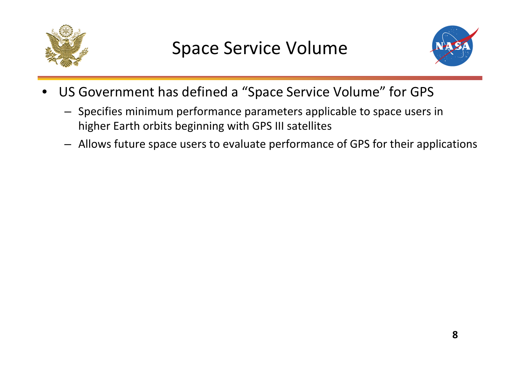



- • US Government has defined <sup>a</sup> "Space Service Volume" for GPS
	- Specifies minimum performance parameters applicable to space users in higher Earth orbits beginning with GPS III satellites
	- Allows future space users to evaluate performance of GPS for their applications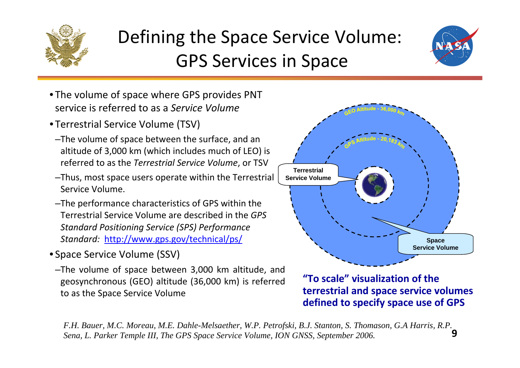

### Defining the Space Service Volume: GPS Services in Space



- The volume of space where GPS provides PNT service is referred to as <sup>a</sup> *Service Volume*
- Terrestrial Service Volume (TSV)
- –The volume of space between the surface, and an altitude of 3,000 km (which includes much of LEO) is referred to as the *Terrestrial Service Volume*, or TSV
- –Thus, most space users operate within the Terrestrial Service Volume.
- –The performance characteristics of GPS within the Terrestrial Service Volume are described in the *GPS Standard Positioning Service (SPS) Performance Standard:* http://www.gps.gov/technical/ps/
- Space Service Volume (SSV)
	- –The volume of space between 3,000 km altitude, and geosynchronous (GEO) altitude (36,000 km) is referred to as the Space Service Volume



**"To scale" visualization of the terrestrial and space service volumes defined to specify space use of GPS**

**9***F.H. Bauer, M.C. Moreau, M.E. Dahle-Melsaether, W.P. Petrofski, B.J. Stanton, S. Thomason, G.A Harris, R.P. Sena, L. Parker Temple III, The GPS Space Service Volume, ION GNSS, September 2006.*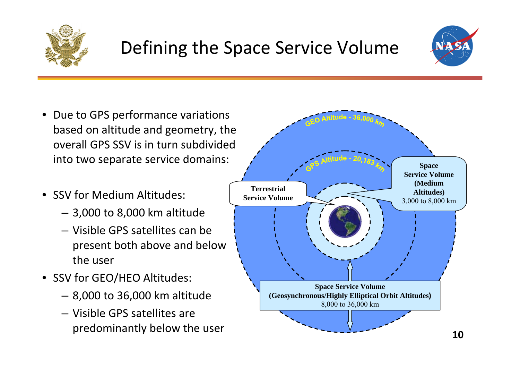

### Defining the Space Service Volume



- •• Due to GPS performance variations based on altitude and geometry, the overall GPS SSV is in turn subdivided into two separate service domains:
- SSV for Medium Altitudes:
	- 3,000 to 8,000 km altitude
	- Visible GPS satellites can be present both above and below the user
- SSV for GEO/HEO Altitudes:
	- 8,000 to 36,000 km altitude
	- Visible GPS satellites are predominantly below the user

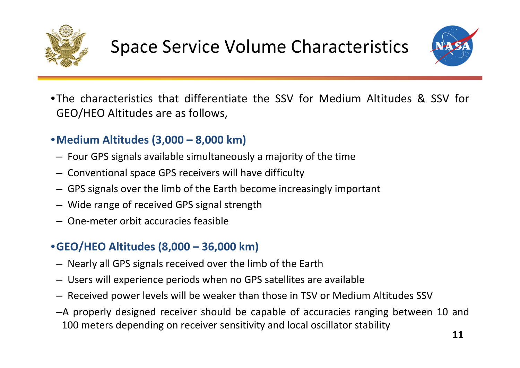

## Space Service Volume Characteristics



•The characteristics that differentiate the SSV for Medium Altitudes & SSV for GEO/HEO Altitudes are as follows,

#### •**Medium Altitudes (3,000 – 8,000 km)**

- Four GPS signals available simultaneously <sup>a</sup> majority of the time
- Conventional space GPS receivers will have difficulty
- GPS signals over the limb of the Earth become increasingly important
- Wide range of received GPS signal strength
- One‐meter orbit accuracies feasible

#### •**GEO/HEO Altitudes (8,000 – 36,000 km)**

- Nearly all GPS signals received over the limb of the Earth
- Users will experience periods when no GPS satellites are available
- Received power levels will be weaker than those in TSV or Medium Altitudes SSV
- –A properly designed receiver should be capable of accuracies ranging between 10 and 100 meters depending on receiver sensitivity and local oscillator stability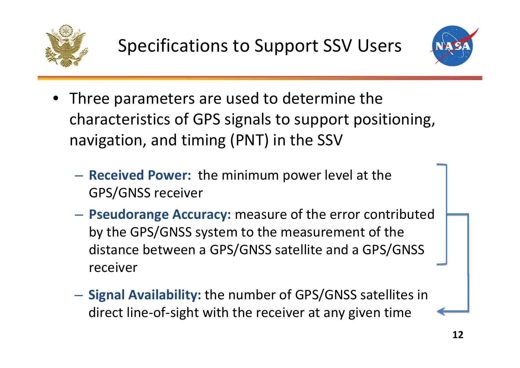



- Three parameters are used to determine the characteristics of GPS signals to support positioning, navigation, and timing (PNT) in the SSV
	- **Received Power:** the minimum power level at the GPS/GNSS receiver
	- **Pseudorange Accuracy:** measure of the error contributed by the GPS/GNSS system to the measurement of the distance between <sup>a</sup> GPS/GNSS satellite and <sup>a</sup> GPS/GNSS receiver
	- **Signal Availability:** the number of GPS/GNSS satellites in direct line‐of‐sight with the receiver at any given time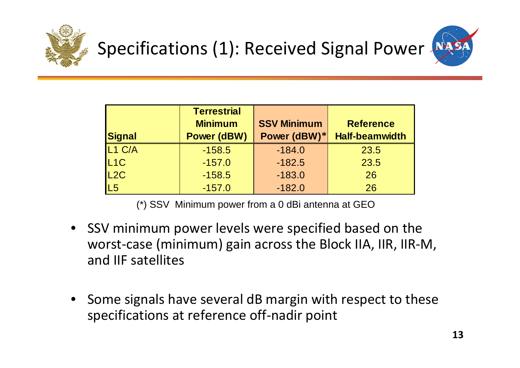



| <b>Signal</b>      | <b>Terrestrial</b><br><b>Minimum</b><br><b>Power (dBW)</b> | <b>SSV Minimum</b><br>Power (dBW)* | <b>Reference</b><br><b>Half-beamwidth</b> |
|--------------------|------------------------------------------------------------|------------------------------------|-------------------------------------------|
| L <sub>1</sub> C/A | $-158.5$                                                   | $-184.0$                           | 23.5                                      |
| L <sub>1</sub> C   | $-157.0$                                                   | $-182.5$                           | 23.5                                      |
| L2C                | $-158.5$                                                   | $-183.0$                           | 26                                        |
| L5                 | $-157.0$                                                   | $-182.0$                           | 26                                        |

(\*) SSV Minimum power from a 0 dBi antenna at GEO

- SSV minimum power levels were specified based on the worst‐case (minimum) gain across the Block IIA, IIR, IIR‐M, and IIF satellites
- •• Some signals have several dB margin with respect to these specifications at reference off‐nadir point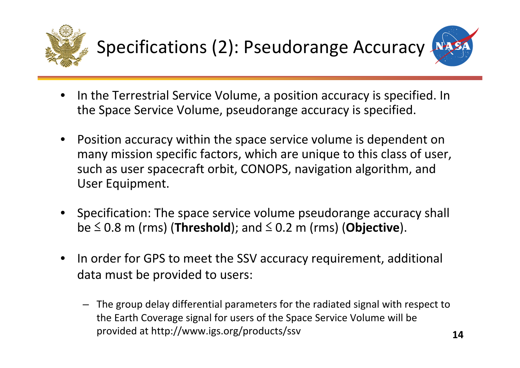



- • $\bullet$  In the Terrestrial Service Volume, a position accuracy is specified. In the Space Service Volume, pseudorange accuracy is specified.
- • Position accuracy within the space service volume is dependent on many mission specific factors, which are unique to this class of user, such as user spacecraft orbit, CONOPS, navigation algorithm, and User Equipment.
- Specification: The space service volume pseudorange accuracy shall be ≤ 0.8 m (rms) (**Threshold**); and ≤ 0.2 <sup>m</sup> (rms) (**Objective**).
- •• In order for GPS to meet the SSV accuracy requirement, additional data must be provided to users:
	- The group delay differential parameters for the radiated signal with respect to the Earth Coverage signal for users of the Space Service Volume will be provided at http://www.igs.org/products/ssv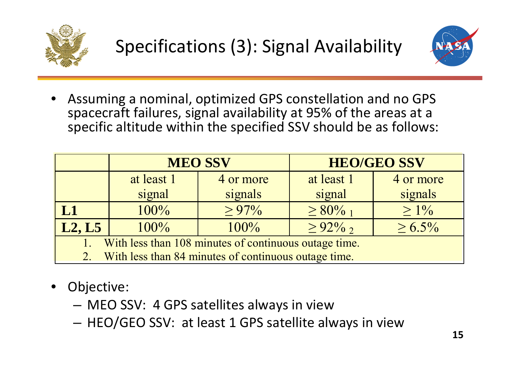



• Assuming <sup>a</sup> nominal, optimized GPS constellation and no GPS spacecraft failures, signal availability at 95% of the areas at <sup>a</sup> specific altitude within the specified SSV should be as follows:

|                                                       | <b>MEO SSV</b> |           | <b>HEO/GEO SSV</b> |              |  |  |
|-------------------------------------------------------|----------------|-----------|--------------------|--------------|--|--|
|                                                       | at least 1     | 4 or more | at least 1         | 4 or more    |  |  |
|                                                       | signal         | signals   | signal             | signals      |  |  |
| L <sub>1</sub>                                        | 100%           | $> 97\%$  | $\geq 80\%$ 1      | $> 1\%$      |  |  |
| L2, L5                                                | 100%           | $100\%$   | $\geq 92\%$        | $\geq 6.5\%$ |  |  |
| With less than 108 minutes of continuous outage time. |                |           |                    |              |  |  |

- 2.With less than 84 minutes of continuous outage time.
- • Objective:
	- MEO SSV: 4 GPS satellites always in view
	- –- HEO/GEO SSV: at least 1 GPS satellite always in view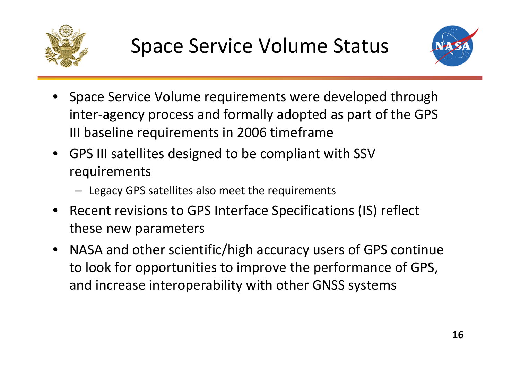



- • Space Service Volume requirements were developed through inter‐agency process and formally adopted as part of the GPS III baseline requirements in 2006 timeframe
- GPS III satellites designed to be compliant with SSV requirements
	- Legacy GPS satellites also meet the requirements
- •• Recent revisions to GPS Interface Specifications (IS) reflect these new parameters
- $\bullet$  NASA and other scientific/high accuracy users of GPS continue to look for opportunities to improve the performance of GPS, and increase interoperability with other GNSS systems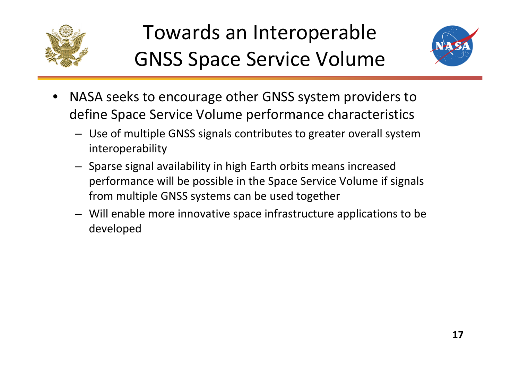

## Towards an Interoperable GNSS Space Service Volume



- • NASA seeks to encourage other GNSS system providers to define Space Service Volume performance characteristics
	- Use of multiple GNSS signals contributes to greater overall system interoperability
	- Sparse signal availability in high Earth orbits means increased performance will be possible in the Space Service Volume if signals from multiple GNSS systems can be used together
	- Will enable more innovative space infrastructure applications to be developed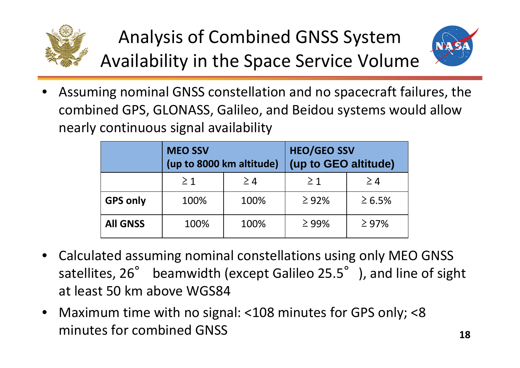

Analysis of Combined GNSS System Availability in the Space Service Volume



• Assuming nominal GNSS constellation and no spacecraft failures, the combined GPS, GLONASS, Galileo, and Beidou systems would allow nearly continuous signal availability

|                 | <b>MEO SSV</b><br>(up to 8000 km altitude) |          | <b>HEO/GEO SSV</b><br>(up to GEO altitude) |             |
|-----------------|--------------------------------------------|----------|--------------------------------------------|-------------|
|                 | $\geq$ 1                                   | $\geq 4$ | $\geq 1$                                   | $\geq 4$    |
| <b>GPS only</b> | 100%                                       | 100%     | $\geq 92\%$                                | $\ge 6.5\%$ |
| <b>All GNSS</b> | 100%                                       | 100%     | $\geq$ 99%                                 | $\geq 97\%$ |

- • Calculated assuming nominal constellations using only MEO GNSS satellites, 26° beamwidth (except Galileo 25.5°), and line of sight at least 50 km above WGS84
- • Maximum time with no signal: <108 minutes for GPS only; <8 minutes for combined GNSS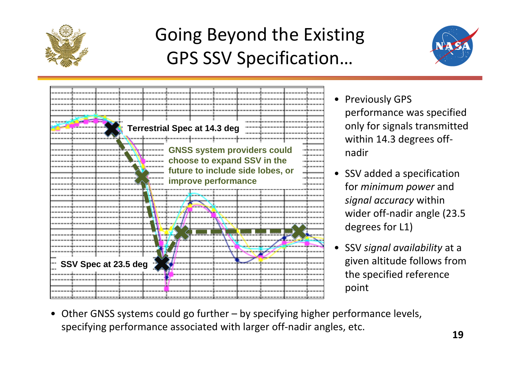

### Going Beyond the Existing GPS SSV Specification…





- Previously GPS performance was specified only for signals transmitted within 14.3 degrees off‐ nadir
- SSV added <sup>a</sup> specification for *minimum power* and *signal accuracy* within wider off‐nadir angle (23.5 degrees for L1)
- SSV *signal availability* at <sup>a</sup> given altitude follows from the specified reference point
- Other GNSS systems could go further by specifying higher performance levels, specifying performance associated with larger off‐nadir angles, etc.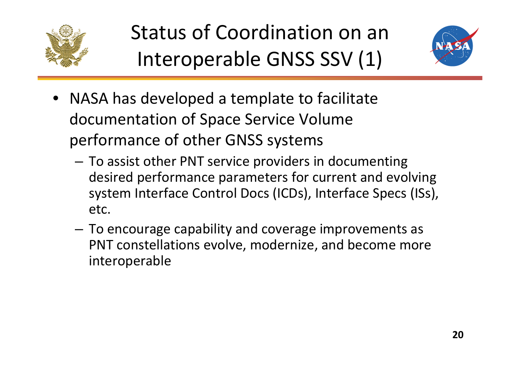

# Status of Coordination on an Interoperable GNSS SSV (1)



- NASA has developed <sup>a</sup> template to facilitate documentation of Space Service Volume performance of other GNSS systems
	- – To assist other PNT service providers in documenting desired performance parameters for current and evolving system Interface Control Docs (ICDs), Interface Specs (ISs), etc.
	- – To encourage capability and coverage improvements as PNT constellations evolve, modernize, and become more interoperable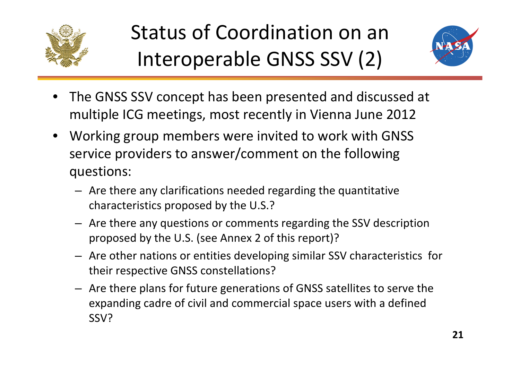

# Status of Coordination on an Interoperable GNSS SSV (2)



- $\bullet$  The GNSS SSV concept has been presented and discussed at multiple ICG meetings, most recently in Vienna June 2012
- $\bullet$  Working group members were invited to work with GNSS service providers to answer/comment on the following questions:
	- Are there any clarifications needed regarding the quantitative characteristics proposed by the U.S.?
	- Are there any questions or comments regarding the SSV description proposed by the U.S. (see Annex 2 of this report)?
	- Are other nations or entities developing similar SSV characteristics for their respective GNSS constellations?
	- Are there plans for future generations of GNSS satellites to serve the expanding cadre of civil and commercial space users with <sup>a</sup> defined SSV?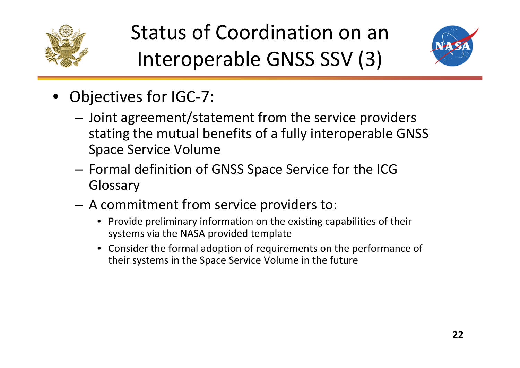

# Status of Coordination on an Interoperable GNSS SSV (3)



- Objectives for IGC‐7:
	- – Joint agreement/statement from the service providers stating the mutual benefits of <sup>a</sup> fully interoperable GNSS Space Service Volume
	- – $-$  Formal definition of GNSS Space Service for the ICG Glossary
	- A commitment from service providers to:
		- Provide preliminary information on the existing capabilities of their systems via the NASA provided template
		- Consider the formal adoption of requirements on the performance of their systems in the Space Service Volume in the future